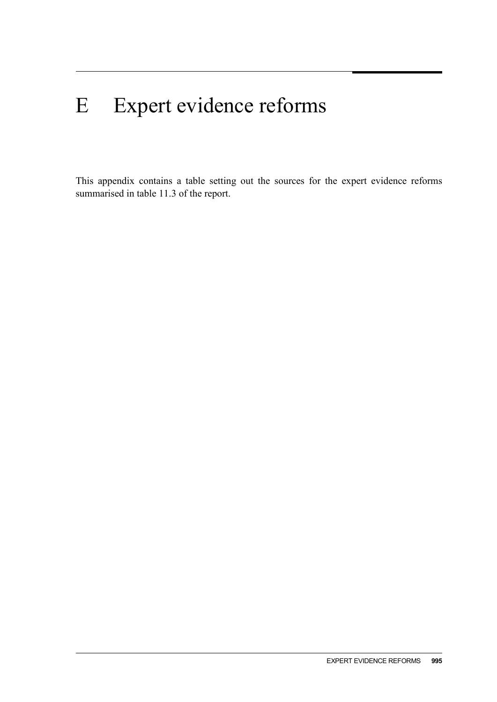## E Expert evidence reforms

This appendix contains a table setting out the sources for the expert evidence reforms summarised in table 11.3 of the report.